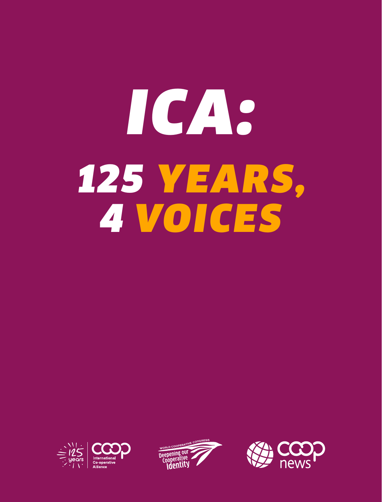# *ICA: 125 YEARS, 4 VOICES*





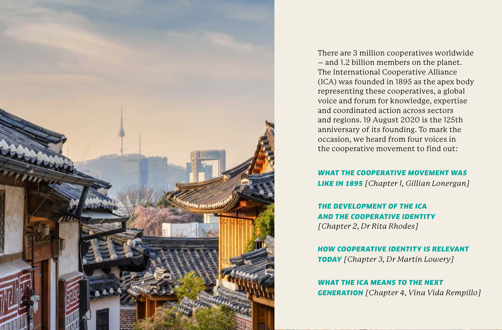

There are 3 million cooperatives worldwide – and 1.2 billion members on the planet. The International Cooperative Alliance (ICA) was founded in 1895 as the apex body representing these cooperatives, a global voice and forum for knowledge, expertise and coordinated action across sectors and regions. 19 August 2020 is the 125th anniversary of its founding. To mark the occasion, we heard from four voices in the cooperative movement to find out:

## *WHAT THE COOPERATIVE MOVEMENT WAS*

*LIKE IN 1895 [Chapter 1, Gillian Lonergan]*

*THE DEVELOPMENT OF THE ICA AND THE COOPERATIVE IDENTITY [Chapter 2, Dr Rita Rhodes]*

*HOW COOPERATIVE IDENTITY IS RELEVANT TODAY [Chapter 3, Dr Martin Lowery]*

*WHAT THE ICA MEANS TO THE NEXT GENERATION [Chapter 4, Vina Vida Rempillo]*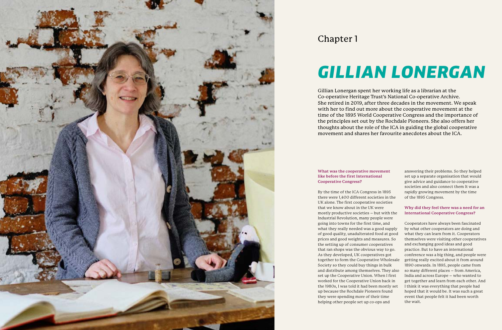## *GILLIAN LONERGAN*



### Chapter 1

#### **What was the cooperative movement like before the first International Cooperative Congress?**

By the time of the ICA Congress in 1895 there were 1,400 different societies in the UK alone. The first cooperative societies that we know about in the UK were mostly productive societies – but with the Industrial Revolution, many people were going into towns for the first time, and what they really needed was a good supply of good quality, unadulterated food at good prices and good weights and measures. So the setting up of consumer cooperatives that ran shops was the obvious way to go. As they developed, UK cooperatives got together to form the Cooperative Wholesale Society so they could buy things in bulk and distribute among themselves. They also set up the Cooperative Union. When I first worked for the Cooperative Union back in the 1980s, I was told it had been mostly set up because the Rochdale Pioneers found they were spending more of their time helping other people set up co-ops and

answering their problems. So they helped set up a separate organisation that would give advice and guidance to cooperative societies and also connect them It was a rapidly growing movement by the time of the 1895 Congress.

**Why did they feel there was a need for an International Cooperative Congress?**

Cooperators have always been fascinated by what other cooperators are doing and what they can learn from it. Cooperators themselves were visiting other cooperatives and exchanging good ideas and good practice. But to have an international conference was a big thing, and people were getting really excited about it from around 1890 onwards. In 1895, people came from so many different places – from America, India and across Europe – who wanted to get together and learn from each other. And I think it was everything that people had hoped that it would be. It was such a great event that people felt it had been worth the wait.

Gillian Lonergan spent her working life as a librarian at the Co-operative Heritage Trust's National Co-operative Archive. She retired in 2019, after three decades in the movement. We speak with her to find out more about the cooperative movement at the time of the 1895 World Cooperative Congress and the importance of the principles set out by the Rochdale Pioneers. She also offers her thoughts about the role of the ICA in guiding the global cooperative movement and shares her favourite anecdotes about the ICA.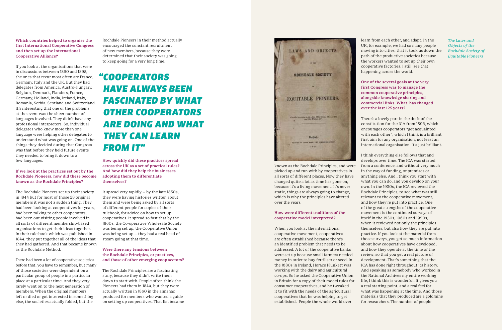**Which countries helped to organise the first International Cooperative Congress and then set up the International Cooperative Alliance?**

If you look at the organisations that were in discussions between 1890 and 1895, the ones that recur most often are France, Germany, Italy and the UK. But they had delegates from America, Austro-Hungary, Belgium, Denmark, Flanders, France, Germany, Holland, India, Ireland, Italy, Romania, Serbia, Scotland and Switzerland. It's interesting that one of the problems at the event was the sheer number of languages involved. They didn't have any professional interpreters. So, individual delegates who knew more than one language were helping other delegates to understand what was going on. One of the things they decided during that Congress was that before they held future events they needed to bring it down to a few languages.

#### **If we look at the practices set out by the Rochdale Pioneers, how did these become known as the Rochdale Principles?**

The Rochdale Pioneers set up their society in 1844 but for most of those 28 original members it was not a sudden thing. They had been looking at cooperatives for years, had been talking to other cooperators, had been out visiting people involved in all sorts of different membership-based organisations to get their ideas together. In their rule book which was published in 1844, they put together all of the ideas that they had gathered. And that became known as the Rochdale Method.

There had been a lot of cooperative societies before that, you have to remember, but many of those societies were dependent on a particular group of people in a particular place at a particular time. And they very rarely went on to the next generation of members. When the original members left or died or got interested in something else, the societies actually folded, but the

Rochdale Pioneers in their method actually encouraged the constant recruitment of new members, because they were determined that their society was going to keep going for a very long time.

**How quickly did these practices spread across the UK as a set of practical rules? And how did they help the businesses adopting them to differentiate themselves?**

It spread very rapidly – by the late 1850s, they were having histories written about them and were being asked by all sorts of different people for copies of their rulebook, for advice on how to set up cooperatives. It spread so fast that by the 1860s, the Co-operative Wholesale Society was being set up, the Cooperative Union was being set up – they had a real head of steam going at that time.

#### **Were there any tensions between the Rochdale Principles, or practices, and those of other emerging coop sectors?**

The Rochdale Principles are a fascinating story, because they didn't write them down to start with. People often think the Pioneers had them in 1844, but they were actually written in 1860 in the almanac produced for members who wanted a guide on setting up cooperatives. That list became



known as the Rochdale Principles, and were picked up and run with by cooperatives in all sorts of different places. Now they have changed quite a lot as time has gone on, because it's a living movement. It's never static, things are always going to change, which is why the principles have altered over the years.

#### **How were different traditions of the cooperative model interpreted?**

When you look at the international cooperative movement, cooperatives are often established because there's an identified problem that needs to be addressed. A lot of the cooperative banks were set up because small farmers needed money in order to buy fertiliser or seed. In the 1880s in Ireland, Horace Plunkett was working with the dairy and agricultural co-ops. So he asked the Cooperative Union in Britain for a copy of their model rules for consumer cooperatives, and he tweaked it to fit with the needs of the agricultural cooperatives that he was helping to get established. People the whole world over

learn from each other, and adapt. In the UK, for example, we had so many people moving into cities, that it took us down the path of the productive societies because the workers wanted to set up their own cooperative factories. I still see that happening across the world.

**One of the several goals at the very first Congress was to manage the common cooperative principles, alongside knowledge sharing and commercial links. What has changed over the last 125 years?**

There's a lovely part in the draft of the constitution for the ICA from 1896, which encourages cooperators "get acquainted with each other", which I think is a brilliant first aim for any organisation, not least an international organisation. It's just brilliant.

I think everything else follows that and develops over time. The ICA was started from a conference, and without very much in the way of funding, or premises or anything else. And I think you start with what you can do, and you develop on your own. In the 1930s, the ICA reviewed the Rochdale Principles, to see what was still relevant to the cooperative movement, and how they're put into practice. One of the great strengths of the cooperative movement is the continued surveys of itself in the 1930s, 1960s and 1990s, when it reviewed not only the principles themselves, but also how they are put into practice. If you look at the material from those surveys, you get so much information about how cooperatives have developed, and how they operate at the time of the review, so that you get a real picture of development. That's something that the ICA has done right throughout its history. And speaking as somebody who worked in the National Archives my entire working life, I think this is wonderful. It gives you a real starting point, and a real feel for what was happening at the time. And those materials that they produced are a goldmine for researchers. The number of people

## *"COOPERATORS HAVE ALWAYS BEEN FASCINATED BY WHAT OTHER COOPERATORS ARE DOING AND WHAT THEY CAN LEARN FROM IT"*

*The Laws and Objects of the Rochdale Society of Equitable Pioneers*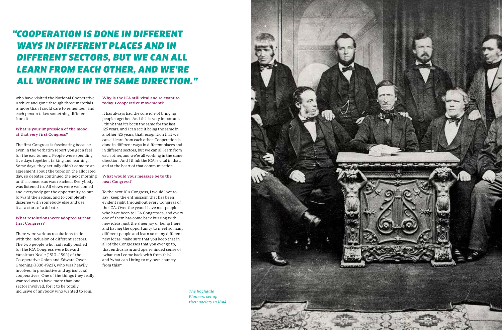who have visited the National Cooperative Archive and gone through those materials is more than I could care to remember, and each person takes something different from it.

#### **What is your impression of the mood at that very first Congress?**

The first Congress is fascinating because even in the verbatim report you get a feel for the excitement. People were spending five days together, talking and learning. Some days, they actually didn't come to an agreement about the topic on the allocated day, so debates continued the next morning until a consensus was reached. Everybody was listened to. All views were welcomed and everybody got the opportunity to put forward their ideas, and to completely disagree with somebody else and use it as a start of a debate.

#### **What resolutions were adopted at that first Congress?**

There were various resolutions to do with the inclusion of different sectors. The two people who had really pushed for the ICA Congress were Edward Vansittart Neale (1810–1892) of the Co-operative Union and Edward Owen Greening (1836-1923), who was heavily involved in productive and agricultural cooperatives. One of the things they really wanted was to have more than one sector involved, for it to be totally inclusive of anybody who wanted to join.

#### **Why is the ICA still vital and relevant to today's cooperative movement?**

It has always had the core role of bringing people together. And this is very important. I think that it's been the same for the last 125 years, and I can see it being the same in another 125 years, that recognition that we can all learn from each other. Cooperation is done in different ways in different places and in different sectors, but we can all learn from each other, and we're all working in the same direction. And I think the ICA is vital in that, and at the heart of that communication.

#### **What would your message be to the next Congress?**

To the next ICA Congress, I would love to say: keep the enthusiasm that has been evident right throughout every Congress of the ICA. Over the years I have met people who have been to ICA Congresses, and every one of them has come back buzzing with new ideas, just the sheer joy of being there and having the opportunity to meet so many different people and learn so many different new ideas. Make sure that you keep that in all of the Congresses that you ever go to, that enthusiasm and open-minded sense of 'what can I come back with from this?' and 'what can I bring to my own country from this?'

## *"COOPERATION IS DONE IN DIFFERENT WAYS IN DIFFERENT PLACES AND IN DIFFERENT SECTORS, BUT WE CAN ALL LEARN FROM EACH OTHER, AND WE'RE ALL WORKING IN THE SAME DIRECTION."*

*The Rochdale Pioneers set up their society in 1844*

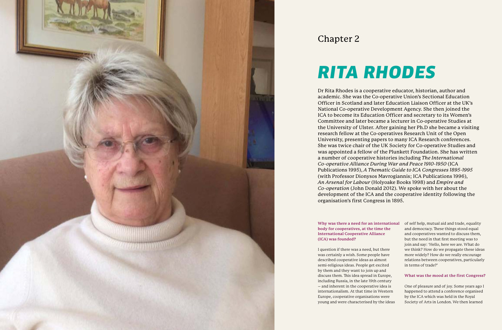## *RITA RHODES*



### Chapter 2

#### **Why was there a need for an international body for cooperatives, at the time the International Cooperative Alliance (ICA) was founded?**

I question if there was a need, but there was certainly a wish. Some people have described cooperative ideas as almost semi-religious ideas. People get excited by them and they want to join up and discuss them. This idea spread in Europe, including Russia, in the late 19th century – and inherent in the cooperative idea is internationalism. At that time in Western Europe, cooperative organisations were young and were characterised by the ideas more widely? How do we really encourage in terms of trade?' **What was the mood at the first Congress?** One of pleasure and of joy. Some years ago I happened to attend a conference organised by the ICA which was held in the Royal Society of Arts in London. We then learned

of self help, mutual aid and trade, equality and democracy. These things stood equal and cooperatives wanted to discuss them, but the need in that first meeting was to join and say: 'Hello, here we are. What do we think? How do we propagate these ideas relations between cooperatives, particularly

Dr Rita Rhodes is a cooperative educator, historian, author and academic. She was the Co-operative Union's Sectional Education Officer in Scotland and later Education Liaison Officer at the UK's National Co-operative Development Agency. She then joined the ICA to become its Education Officer and secretary to its Women's Committee and later became a lecturer in Co-operative Studies at the University of Ulster. After gaining her Ph.D she became a visiting research fellow at the Co-operatives Research Unit of the Open University, presenting papers to many ICA Research conferences. She was twice chair of the UK Society for Co-operative Studies and was appointed a fellow of the Plunkett Foundation. She has written a number of cooperative histories including *The International Co-operative Alliance During War and Peace 1910-1950* (ICA Publications 1995), *A Thematic Guide to ICA Congresses 1895-1995* (with Professor Dionysos Mavrogiannis; ICA Publications 1996), *An Arsenal for Labour* (Holyoake Books 1998) and *Empire and Co-operation* (John Donald 2012). We spoke with her about the development of the ICA and the cooperative identity following the organisation's first Congress in 1895.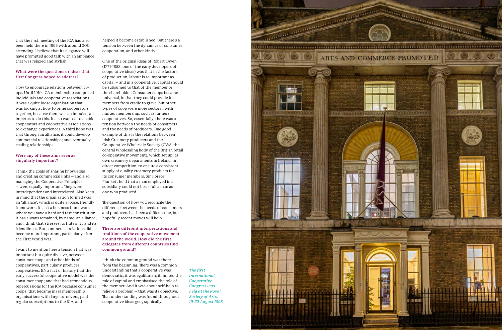that the first meeting of the ICA had also been held there in 1895 with around 200 attending. I believe that its elegance will have prompted good talk with an ambiance that was relaxed and stylish.

#### **What were the questions or ideas that first Congress hoped to address?**

How to encourage relations between coops. Until 1919, ICA membership comprised individuals and cooperative associations. It was a quite loose organisation that was looking at how to bring cooperators together, because there was an impulse, an impetus to do this. It also wanted to enable cooperators and cooperative associations to exchange experiences. A third hope was that through an alliance, it could develop commercial relationships; and eventually trading relationships.

#### **Were any of these aims seen as singularly important?**

I think the goals of sharing knowledge and creating commercial links – and also managing the Cooperative Principles – were equally important. They were interdependent and interrelated. Also keep in mind that the organisation formed was an 'alliance', which is quite a loose, friendly framework. It isn't a business framework where you have a hard and fast constitution. It has always remained, by name, an alliance, and I think that stresses its fraternity and its friendliness. But commercial relations did become more important, particularly after the First World War.

I want to mention here a tension that was important but quite divisive, between consumer coops and other kinds of cooperatives, particularly producer cooperatives. It's a fact of history that the early successful cooperative model was the consumer coop; and that had tremendous repercussions for the ICA because consumer coops, that became mass membership organisations with large turnovers, paid regular subscriptions to the ICA, and

helped it become established. But there's a tension between the dynamics of consumer cooperation, and other kinds.

One of the original ideas of Robert Owen (1771-1858, one of the early developers of cooperative ideas) was that in the factors of production, labour is as important as capital – and in a cooperative, capital should be subsumed to that of the member or the shareholder. Consumer coops became universal, in that they could provide for members from cradle to grave, but other types of coop were more sectoral, with limited membership, such as farmers cooperatives. So, essentially, there was a tension between the needs of consumers and the needs of producers. One good example of this is the relations between Irish Creamery producers and the Co-operative Wholesale Society (CWS, the central wholesaling body of the British retail co-operative movement), which set up its own creamery departments in Ireland, in direct competition, to ensure a consistent supply of quality creamery products for its consumer members. Sir Horace Plunkett held that a man employed in a subsidiary could not be as full a man as one who produced.

The question of how you reconcile the difference between the needs of consumers and producers has been a difficult one, but hopefully recent moves will help.

**There are different interpretations and traditions of the cooperative movement around the world. How did the first delegates from different countries find common ground?**

I think the common ground was there from the beginning. There was a common understanding that a cooperative was democratic, it was egalitarian, it limited the role of capital and emphasised the role of the member. And it was about self-help to relieve a problem – that was its objective. That understanding was found throughout cooperative ideas geographically.

*The first International Cooperative Congress was held at the Royal* 

*Society of Arts, 19-22 August 1895*

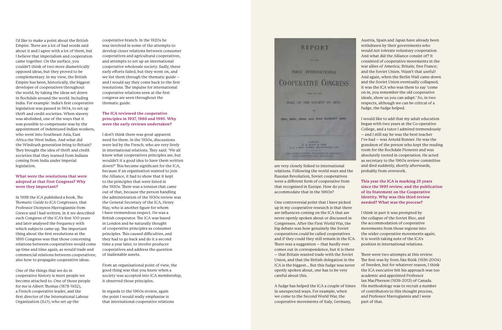I'd like to make a point about the British Empire. There are a lot of bad words said about it and I agree with a lot of them, but I believe that imperialism and cooperation came together. On the surface, you couldn't think of two more diametrically opposed ideas, but they proved to be complementary. In my view, the British Empire has been, historically, the biggest developer of cooperatives throughout the world, by taking the ideas set down in Rochdale around the world. Including India. For example: India's first cooperative legislation was passed in 1904, to set up thrift and credit societies. When slavery was abolished, one of the ways that it was possible to compensate was by the appointment of indentured Indian workers, who went into Southeast Asia, East Africa the West Indies. And what did the Windrush generation bring to Britain? They brought the idea of thrift and credit societies that they learned from Indians coming from India under imperial legislation.

#### **What were the resolutions that were adopted at that first Congress? Why were they important?**

In 1998 the ICA published a book, *The Thematic Guide to ICA Congresses*, that Professor Dionysos Mavrogiannis from Greece and I had written. In it we described each Congress of the ICA's first 100 years and later analysed the frequency with which subjects came up. The important thing about the first resolutions at the 1895 Congress was that those concerning relations between cooperatives would come up time and time again, as would trade and commercial relations between cooperatives; also how to propagate cooperative ideas.

One of the things that we do in cooperative history is meet people we become attached to. One of those people for me is Albert Thomas (1878-1932), a French cooperative leader, and the first director of the International Labour Organization (ILO), who set up the

cooperative branch. In the 1920s he was involved in some of the attempts to develop closer relations between consumer cooperatives and agricultural cooperatives, and attempts to set up an international cooperative wholesale society. Sadly, these early efforts failed, but they went on, and we list them through the thematic guide – and I would say they come back to the first resolutions. The impulse for international cooperative relations seen at the first congress are seen throughout the thematic guide.

#### **The ICA reviewed the cooperative principles in 1937, 1966 and 1995. Why were the early reviews undertaken?**

I don't think there was great apparent need for them. In the 1930s, discussions were led by the French, who are very lively in international relations. They said: 'We all know what cooperatives principles are, but wouldn't it a good idea to have them written down?' This became significant for the ICA, because if an organisation wanted to join the Alliance, it had to show that it kept to the principles that were listed in the 1930s. There was a tension that came out of that, because the person handling the administration of the 1930s review was the General Secretary of the ICA, Henry May, who is another figure for whom I have tremendous respect. He was a British cooperator. The ICA was based in London and he naturally thought of cooperative principles as consumer principles. This caused difficulties, and they had to go back and do it a second time a year later, to involve producer cooperatives and address the question of inalienable assets.

From an organisational point of view, the good thing was that you knew when a society was accepted into ICA membership, it observed those principles.

In regards to the 1960s review, again the point I would really emphasise is that international cooperative relations

## **HAT STAR** FIRST INTERNATIONAL

**REPORT** 

**CO-OPERATIVE CONGRESS** Market Co. Trees HALL OF THE SOCIETY OF ARTS. tets, goth, 22nd, and 23rd AUGUST 1995. P. R. RING & HOM.

THE SERIES-COMMITTEE CONTENENTS AND

are very closely linked to international relations. Following the world wars and the Russian Revolution, Soviet cooperatives were a different form of cooperative from that recognised in Europe. How do you accommodate that in the 1960s?

One controversial point that I have picked up in my cooperative research is that there are influences coming on the ICA that are never openly spoken about or discussed in Congresses. After the First World War, the big debate was how genuinely the Soviet cooperatives could be called cooperatives and if they could they still remain in the ICA. There was a suggestion – that hardly ever comes out in correspondence, but it is there – that Britain wanted trade with the Soviet Union, and that the British delegation in the ICA is the biggest... But this fudge was never openly spoken about, one has to be very careful about this.

A fudge has helped the ICA a couple of times in unexpected ways. For example, when we come to the Second World War, the cooperative movements of Italy, Germany,

Austria, Spain and Japan have already been withdrawn by their governments who would not tolerate voluntary cooperation. And what did the Alliance consist of? It consisted of cooperative movements in the war allies of America; Britain; free France; and the Soviet Union. Wasn't that useful! And again, when the Berlin Wall came down and the Soviet Union eventually collapsed, it was the ICA who was there to say 'come on in, you remember the old cooperative ideals, show us you can adapt.' So, in two respects, although we can be critical of a fudge, the fudge helped.

I would like to add that my adult education began with two years at the Co-operative College, and a tutor I admired tremendously – and I still say he was the best teacher I've had – was Arnold Bonner. He was the grandson of the person who kept the reading room for the Rochdale Pioneers and was absolutely rooted in cooperation. He acted as secretary to the 1960s review committee and died suddenly, shortly afterwards, probably from overwork.

#### **This year the ICA is marking 25 years since the 1995 review, and the publication of its Statement on the Cooperative Identity. Why was this third review**

**needed? What was the process?**

I think in part it was prompted by the collapse of the Soviet Bloc, and the accommodation of cooperative movements from those regions into the wider cooperative movements again; it is worth taking note of the ICA's position in international relations.

There were two attempts at this review. The first was by Sven Åke Böök (1936-2004) of Sweden, but for whatever reason, I think the ICA executive felt his approach was too academic and appointed Professor Ian MacPherson (1939-2013) of Canada. His methodology was to recruit a number of contributors to this thought process, and Professor Mavrogiannis and I were part of that.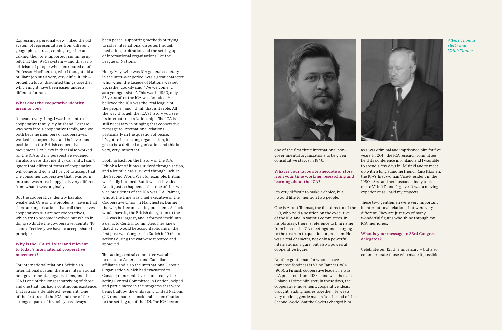Expressing a personal view, I liked the old system of representatives from different geographical areas, coming together and talking, then one rapporteur summing up. I felt that the 1990s system – and this is no criticism of people who contributed or of Professor MacPherson, who I thought did a brilliant job but a very, very difficult job – brought a lot of disjointed things together which might have been easier under a different format.

#### **What does the cooperative identity mean to you?**

It means everything. I was born into a cooperative family. My husband, Bernard, was born into a cooperative family, and we both became members of cooperatives, worked in cooperatives and held various positions in the British cooperative movement. I'm lucky in that I also worked for the ICA and my perspective widened. I am also aware that identity can shift. I can't ignore that different forms of cooperative will come and go, and I've got to accept that the consumer cooperative that I was born into and was most happy in, is very different from what it was originally.

But the cooperative identity has also weakened. One of the problems I have is that there are organisations that call themselves cooperatives but are not cooperatives, which try to become involved but which in doing so dilute the co-operative identity. To share effectively we have to accept shared principles.

#### **Why is the ICA still vital and relevant to today's international cooperative movement?**

For international relations. Within an international system there are international non-governmental organisations, and the ICA is one of the longest surviving of those and one that has had a continuous existence. That is a considerable achievement. One of the features of the ICA and one of the strongest parts of its policy has always

been peace, supporting methods of trying to solve international disputes through mediation, arbitration and the setting up of international organisations like the League of Nations.

Henry May, who was ICA general secretary in the inter-war period, was a great character who, when the League of Nations was set up, rather cockily said, 'We welcome it, as a younger sister'. This was in 1920, only 25 years after the ICA was founded. He believed the ICA was the 'real league of the people', and I think that is its role. All the way through the ICA's history you see its international relationships. The ICA is still necessary in bringing that cooperative message to international relations, particularly in the question of peace. It's got to be a strong organisation, it's got to be a defined organisation and this is very, very important.

Looking back on the history of the ICA, I think a lot of it has survived through action, and a lot of it has survived through luck. In the Second World War, for example, Britain was badly bombed. But it wasn't invaded. And it just so happened that one of the two vice presidents of the ICA was R.A. Palmer, who at the time was chief executive of the Cooperative Union in Manchester. During the war, he became acting president. As luck would have it, the British delegation to the ICA was its largest, and it formed itself into a de facto Central Committee. They knew that they would be accountable, and in the first post war Congress in Zurich in 1946, its actions during the war were reported and approved.

This acting central committee was able to relate to American and Canadian affiliates and also the International Labour Organization which had evacuated to Canada; representatives, directed by the acting Central Committee in London, helped and participated in the programs that were being built by the embryonic United Nations (UN) and made a considerable contribution to the setting up of the UN. The ICA became



one of the first three international nongovernmental organizations to be given consultative status in 1946.

#### **What is your favourite anecdote or story from your time working, researching and learning about the ICA?**

It's very difficult to make a choice, but I would like to mention two people.

One is Albert Thomas, the first director of the ILO, who held a position on the executive of the ICA and in various committees. In his obituary, there is reference to him rising from his seat in ICA meetings and charging to the rostrum to question or proclaim. He was a real character, not only a powerful international figure, but also a powerful cooperative figure.

Another gentleman for whom I have immense fondness is Väinö Tanner (1881- 1966), a Finnish cooperative leader. He was ICA president from 1927 – and was then also Finland's Prime Minister; in those days, the cooperative movement, cooperative ideas, brought leading figures together. He was a very modest, gentle man. After the end of the Second World War the Soviets charged him

as a war criminal and imprisoned him for five years. In 2011, the ICA research committee held its conference in Finland and I was able to spend a few days in Helsinki and to meet up with a long standing friend, Raija Itkonen, the ICA's first woman Vice-President in the 1980s. She and her husband kindly took me to Väinö Tanner's grave. It was a moving experience as I paid my respects.

These two gentlemen were very important in international relations, but were very different. They are just two of many wonderful figures who shine through my ICA memories.

#### **What is your message to 33rd Congress delegates?**

Celebrate our 125th anniversary – but also commemorate those who made it possible.



#### *Albert Thomas (left) and Väinö Tanner*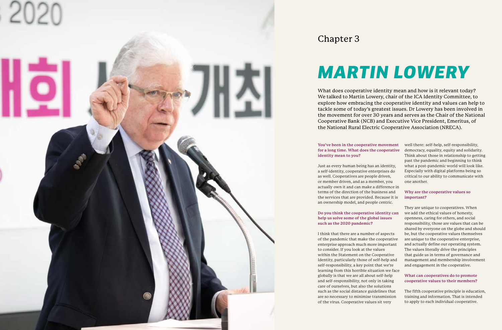## *MARTIN LOWERY*



### Chapter 3

**You've been in the cooperative movement for a long time. What does the cooperative identity mean to you?**

Just as every human being has an identity, a self-identity, cooperative enterprises do as well. Cooperatives are people driven, or member driven, and as a member, you actually own it and can make a difference in terms of the direction of the business and the services that are provided. Because it is an ownership model, and people centric.

#### **Do you think the cooperative identity can help us solve some of the global issues such as the 2020 pandemic?**

I think that there are a number of aspects of the pandemic that make the cooperative enterprise approach much more important to consider. If you look at the values within the Statement on the Cooperative Identity, particularly those of self-help and self-responsibility, a key point that we're learning from this horrible situation we face globally is that we are all about self-help and self-responsibility, not only in taking care of ourselves, but also the solutions such as the social distance guidelines that are so necessary to minimise transmission of the virus. Cooperative values sit very

well there: self-help, self-responsibility, democracy, equality, equity and solidarity. Think about those in relationship to getting past the pandemic and beginning to think what a post-pandemic world will look like. Especially with digital platforms being so critical to our ability to communicate with one another.

#### **Why are the cooperative values so important?**

They are unique to cooperatives. When we add the ethical values of honesty, openness, caring for others, and social responsibility, those are values that can be shared by everyone on the globe and should be, but the cooperative values themselves are unique to the cooperative enterprise, and actually define our operating system. The values literally drive the principles that guide us in terms of governance and management and membership involvement and engagement in the cooperative.

#### **What can cooperatives do to promote cooperative values to their members?**

The fifth cooperative principle is education, training and information. That is intended to apply to each individual cooperative.

What does cooperative identity mean and how is it relevant today? We talked to Martin Lowery, chair of the ICA Identity Committee, to explore how embracing the cooperative identity and values can help to tackle some of today's greatest issues. Dr Lowery has been involved in the movement for over 30 years and serves as the Chair of the National Cooperative Bank (NCB) and Executive Vice President, Emeritus, of the National Rural Electric Cooperative Association (NRECA).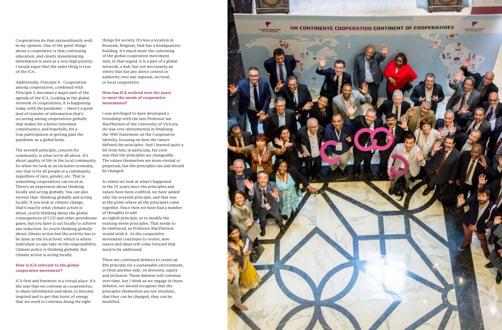Cooperatives do that extraordinarily well, in my opinion. One of the great things about a cooperative is that continuing education, and clearly disseminating information is seen as a very high priority. I would argue that the same thing is true of the ICA.

Additionally, Principle 6 - Cooperation among cooperatives, combined with Principle 5, becomes a major part of the agenda of the ICA. Looking at the global network of cooperatives, it is happening today with the pandemic – there's a great deal of transfer of information that's occurring among cooperatives globally that makes for a better informed constituency, and hopefully, for a true participation in getting past the pandemic as a global body.

The seventh principle, concern for community, is what we're all about. It's about quality of life in the local community. So when we look at an inclusive economy, one that is for all people in a community, regardless of race, gender, etc. That is something cooperatives can excel at. There's an expression about thinking locally and acting globally. You can also reverse that: thinking globally and acting locally. If you look at climate change, that's exactly what climate action is about, you're thinking about the global consequences of CO2 and other greenhouse gases, but you have to act locally to achieve any reduction. So you're thinking globally about climate action but the activity has to be done at the local level, which is where individual co-ops take on the responsibility. Climate policy is thinking globally. But climate action is acting locally.

#### **How is ICA relevant to the global cooperative movement?**

ICA first and foremost is a virtual place. It's the way that we convene as cooperatives, to share information and ideas, to become inspired and to get that burst of energy that we need to continue doing the right

things for society. It's less a location in Brussels, Belgium, that has a headquarters building. It's much more the convening of the global cooperative movement. And, in that regard, it is a part of a global network, a hub, but not necessarily an entity that has any direct control or authority over any regional, sectoral, or local cooperative.

#### **How has ICA evolved over the years to meet the needs of cooperative movements?**

I was privileged to have developed a friendship with the late Professor Ian MacPherson of the University of Victoria. He was very instrumental in finalising the 1995 Statement on the Cooperative Identity, focusing on how the values defined the principles. And I learned quite a bit from him, in particular, his view was that the principles are changeable. The values themselves are more eternal or perpetual, but the principles can and should be changed.

So when we look at what's happened in the 25 years since the principles and values have been codified, we have added only the seventh principle, and that was at the point where all the principles came together. Since then we have had a number of thoughts to add

an eighth principle, or to modify the existing seven principles. That needs to be embraced, as Professor MacPherson would wish it. As the cooperative movement continues to evolve, new issues and ideas will come forward that need to be addressed.

There are continued debates to create an 8th principle for a sustainable environment, or from another side, on diversity, equity and inclusion. These debates will continue over time, but I think as we engage in those debates, we should recognise that the principles themselves are not inviolate, that they can be changed, they can be modified.

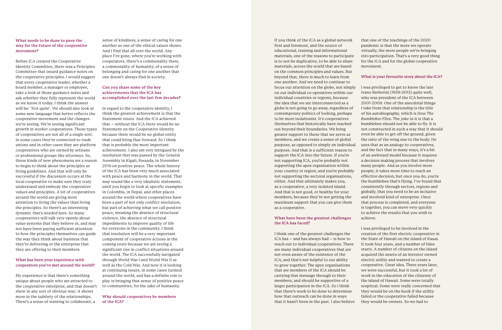#### **What needs to be done to pave the way for the future of the cooperative movement?**

Before ICA created the Cooperative Identity Committee, there was a Principles Committee that issued guidance notes on the cooperative principles. I would suggest that every cooperative leader, whether a board member, a manager or employee, take a look at those guidance notes and ask whether they fully represent the world as we know it today. I think the answer will be: 'Not quite'. We should also look at some new language that better reflects the cooperative movement and the changes we're seeing. We're seeing significant growth in worker cooperatives. Those types of cooperatives are not all of a single sort. In some cases they're connected to trade unions and in other cases they are platform cooperatives who are owned by artisans or professional groups like attorneys. So, those kinds of new phenomena are a reason to begin to think about the principles as living guidelines. And that will only be successful if the discussion occurs at the local cooperative to make sure they truly understand and embody the cooperative values and principles. A lot of cooperatives around the world are giving more attention to living the values than living the principles. So there's an interesting dynamic that's needed here. So many cooperatives will talk very openly about value systems that they believe in, and may not have been paying sufficient attention to how the principles themselves can guide the way they think about business that they're delivering or the enterprise that they are offering to their members.

#### **What has been your experience with cooperators you've met around the world?**

My experience is that there's something unique about people who are attracted to the cooperative enterprise, and that doesn't show in any sort of obvious way; it shows more in the subtlety of the relationships. There's a sense of wanting to collaborate, a

sense of kindness, a sense of caring for one another as one of the ethical values shows. And I find that all over the world. Any place I've gone, where you're working with cooperators, there's a commonality there, a commonality of humanity, of a sense of belonging and caring for one another that one doesn't always find in society.

#### **Can you share some of the key achievements that the ICA has accomplished over the last few decades?**

In regard to the cooperative identity, I think the greatest achievement is that the Statement exists. And the ICA achieved that – without the ICA there would be no Statement on the Cooperative Identity because there would be no global entity that could bring that forward. So I think that is probably the most important achievement. I also am very intrigued by the resolution that was passed by the General Assembly in Kigali, Rwanda, in November 2019 on positive peace. The whole history of the ICA has been very much associated with peace and harmony in the world. That may sound like a very idealistic statement, until you begin to look at specific examples in Colombia, in Nepal, and other places around the world where cooperatives have been a part of not only conflict resolution, but part of achieving what we call positive peace, meaning the absence of structural violence, the absence of structural impediments to improve quality of life for everyone in the community. I think that resolution will be a very important component of cooperative actions in the coming years because we are seeing a significant rise in conflict situations around the world. The ICA successfully navigated through World War I and World War II as well as the Cold War. And now it is looking at continuing issues, in some cases turmoil around the world, and has a definite role to play in bringing that sense of positive peace to communities, for the sake of humanity.

**Why should cooperatives be members of the ICA?**

If you think of the ICA as a global network first and foremost, and the source of educational, training and informational materials, one of the reasons to participate is to not be duplicative, to be able to share materials, across the world that are based on the common principles and values. But beyond that, there is much to learn from one another. And we need to continue to focus our attention on the globe, not simply on our individual co-operatives within our individual countries or regions, because the idea that we are interconnected as a globe is not going to go away, regardless of contemporary politics of looking, perhaps to be more isolationist. It's cooperatives themselves that historically have reached out beyond their boundaries. We bring greater support to those that we serve as members, and we create a sense of global purpose, as opposed to simply an individual purpose. And that is a sufficient reason to support the ICA into the future. If you're not supporting ICA, you're probably not supporting the apex organisation within your country or region, and you're probably not supporting the sectoral organisations, either. And that ultimately makes you, as a cooperative, a very isolated island. And that is not good, or healthy for your members, because they're not getting the maximum support that you can give them as a cooperative.

#### **What have been the greatest challenges the ICA has faced?**

I think one of the greatest challenges the ICA has – and has always had – is how to reach out to individual cooperatives. There are many individual cooperatives that are not even aware of the existence of the ICA, and that's not helpful to our ability to grow together. The apex organisations that are members of the ICA should be carrying that message through to their members, and should be supportive of a larger participation in the ICA. So I think that there's work to be done to determine how that outreach can be done in ways that it hasn't been in the past. I also believe

that one of the teachings of the 2020 pandemic is that the more we operate virtually, the more people we're bringing into participation. That's a very good thing for the ICA and for the global cooperative movement.

#### **What is your favourite story about the ICA?**

I was privileged to get to know the late Ivano Barberini (1939-2013) quite well, who was president of the ICA between 2001-2009. One of the anecdotal things I take from that relationship is the title of his autobiography, which is *How The Bumblebee Flies*. The joke in it is that a bumblebee should not be able to fly. It is not constructed in such a way that it should even be able to get off the ground, given the ratio of the wing size to the body. He uses that as an analogy to cooperatives, and the fact that in many ways, it's a bit of an awkward model because it requires a decision making process that involves many people. And as you involve more people, it takes more time to reach an effective decision, but once you do, you're the bumblebee that's flying. I've found that consistently through sectors, regions and globally, that you need to be an inclusive and involved kind of enterprise. Once that process is completed, and everyone is together, you can move very quickly to achieve the results that you wish to achieve.

I was privileged to be involved in the creation of the first electric cooperative in the State of Hawaii on the island of Kauai. It took four years, and a number of false starts. A number of citizens on the island acquired the assets of an investor owned electric utility and wanted to create a cooperative. Great idea. Three years later, we were successful, but it took a lot of work in the education of the citizenry of the island of Hawaii. Some were totally sceptical. Some were really concerned that they would be on the hook if the utility failed or the cooperative failed because they would be owners. So we had to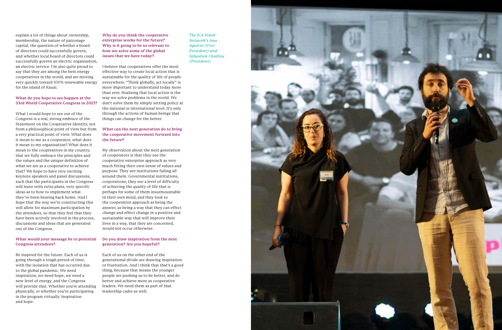explain a lot of things about ownership, membership, the nature of patronage capital, the question of whether a board of directors could successfully govern, and whether local board of directors could successfully govern an electric organisation, an electric service. I'm also quite proud to say that they are among the best energy cooperatives in the world, and are moving very quickly toward 100% renewable energy for the island of Kauai.

#### **What do you hope to see happen at the 33rd World Cooperative Congress in 2021?**

What I would hope to see out of the Congress is a real, strong embrace of the Statement on the Cooperative Identity, not from a philosophical point of view but from a very practical point of view. What does it mean to me as a cooperator, what does it mean to my organisation? What does it mean to the cooperatives in my country, that we fully embrace the principles and the values and the unique definition of what we are as a cooperative to achieve that? We hope to have very exciting keynote speakers and panel discussions, such that the participants in the Congress will leave with extra plans, very specific ideas as to how to implement what they've been hearing back home. And I hope that the way we're constructing this will allow for maximum participation by the attendees, so that they feel that they have been actively involved in the process, discussions and ideas that are generated out of the Congress.

#### **What would your message be to potential Congress attendees?**

Be inspired for the future. Each of us is going through a tough period of time, with the isolation that has occurred due to the global pandemic. We need inspiration, we need hope, we need a new level of energy, and the Congress will provide that. Whether you're attending physically, or whether you're participating in the program virtually. Inspiration and hope.

**Why do you think the cooperative enterprise works for the future? Why is it going to be so relevant to how we solve some of the global issues that we have today?**

I believe that cooperatives offer the most effective way to create local action that is sustainable for the quality of life of people everywhere. "Think globally, act locally" is more important to understand today more than ever. Realising that local action is the way we solve problems in the world. We don't solve them by simply setting policy at the national or international level. It's only through the actions of human beings that things can change for the better.

#### **What can the next generation do to bring the cooperative movement forward into the future?**

My observation about the next generation of cooperators is that they see the cooperative enterprise approach as very much fitting their own sense of values and purpose. They see institutions failing all around them. Governmental institutions, corporations, they see a level of difficulty of achieving the quality of life that is perhaps for some of them insurmountable in their own mind, and they look to the cooperative approach as being the answer, as being a way that they can effect change and effect change in a positive and sustainable way that will improve their lives in a way, that they are concerned, would not occur otherwise.

#### **Do you draw inspiration from the next generation? Are you hopeful?**

Each of us on the other end of the generational divide are drawing inspiration or frustration. And I think that that's a good thing, because that means the younger people are pushing us to be better, and do better and achieve more as cooperative leaders. We need them as part of that leadership cadre as well.

*The ICA Youth Network's Ana Aguirre (Vice-President) and Sébastien Chaillou (President)*

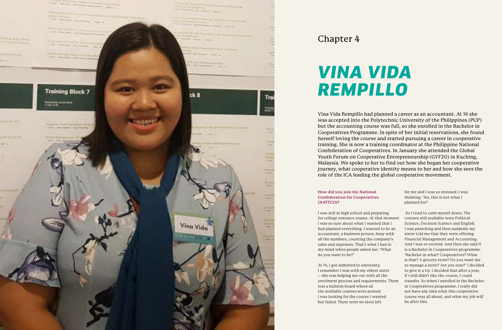## *VINA VIDA REMPILLO*



### Chapter 4

#### **How did you join the National Confederation for Cooperatives (NATTCO)?**

I was still in high school and preparing for college entrance exams. At that mom I was so sure about what I wanted that I had planned everything. I wanted to be a accountant, a business person, busy with all the numbers, counting the company's sales and expenses. That's what I had in my mind when people asked me: 'What do you want to be?'

At 16, I got admitted to university. I remember I was with my eldest sister – she was helping me out with all the enrolment process and requirements. Th was a bulletin board where all the available courses were posted. I was looking for the course I wanted but failed. There were no slots left



|      | for me and I was so stressed. I was            |
|------|------------------------------------------------|
|      | thinking: 'No, this is not what I              |
|      | planned for!'                                  |
|      | So I tried to calm myself down. The            |
| ient | courses still available were Political         |
|      | Science, Decision Science and English.         |
| ın   | I was panicking and then suddenly my           |
| h    | sister told me that they were offering         |
|      | Financial Management and Accounting.           |
|      | And I was so excited. And then she said it     |
|      | is a Bachelor in Cooperatives programme.       |
|      | 'Bachelor in what? Cooperatives? What          |
|      | is that? A grocery store? Do you want me       |
|      | to manage a store? Are you sure?' I decided    |
|      | to give it a try. I decided that after a year, |
|      | if I still didn't like the course, I could     |
| ere  | transfer. So when I enrolled in the Bachelor   |
|      | in Cooperatives programme, I really did        |
|      | not have any idea what this cooperative        |
|      | course was all about, and what my job will     |
|      | be after this.                                 |
|      |                                                |

Vina Vida Rempillo had planned a career as an accountant. At 16 she was accepted into the Polytechnic University of the Philippines (PUP) but the accounting course was full, so she enrolled in the Bachelor in Cooperatives Programme. In spite of her initial reservations, she found herself loving the course and started pursuing a career in cooperative training. She is now a training coordinator at the Philippine National Confederation of Cooperatives. In January she attended the Global Youth Forum on Cooperative Entrepreneurship (GYF20) in Kuching, Malaysia. We spoke to her to find out how she began her cooperative journey, what cooperative identity means to her and how she sees the role of the ICA leading the global cooperative movement.